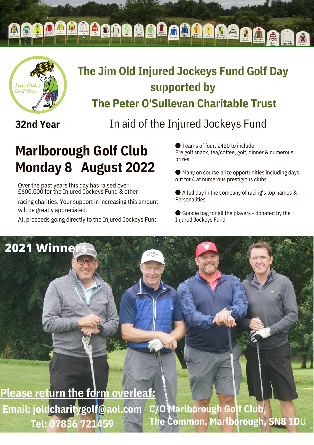**MAAAAAAAAAAAAAAAA** 



## **The Jim Old Injured Jockeys Fund Golf Day supported by The Peter O'Sullevan Charitable Trust**

**32nd Year**

**2021 Winners**

In aid of the Injured Jockeys Fund

# **Marlborough Golf Club Monday 8 August 2022**

Over the past years this day has raised over £600,000 for the Injured Jockeys Fund & other

racing charities. Your support in increasing this amount will be greatly appreciated.

All proceeds going directly to the Injured Jockeys Fund

● Teams of four, £420 to include: Pre golf snack, tea/coffee, golf, dinner & numerous prizes

● Many on course prize opportunities including days out for 4 at numerous prestigious clubs.

● A full day in the company of racing's top names & Personalities

● Goodie bag for all the players - donated by the Injured Jockeys Fund

**C/O Marlborough Golf Club, The Common, Marlborough, SN8 1D**U **Please return the form overleaf: Email: joldcharitygolf@aol.com Tel: 07836 721459**